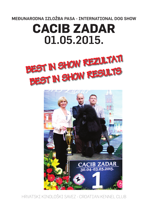MEĐUNARODNA IZLOŽBA PASA - INTERNATIONAL DOG SHOW

# **CACIB ZADAR**  01.05.2015.





HRVATSKI KINOLOŠKI SAVEZ - CROATIAN KENNEL CLUB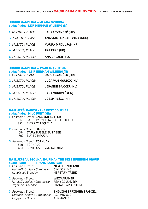# **JUNIOR HANDLING – MLAĐA SKUPINA sudac/judge: LEIF HERMAN WILBERG (N)**

| 1. MJESTO / PLACE:        | LAURA IVANČIĆ (HR)         |
|---------------------------|----------------------------|
| 2. MJESTO / PLACE:        | ANASTASIA KRAPIVINA (RUS)  |
| <b>3. MJESTO / PLACE:</b> | <b>MAURA MRDULJAŠ (HR)</b> |
| 4. MJESTO / PLACE:        | IRA FIKE (HR)              |
| <b>5.</b> MJESTO / PLACE: | <b>ANA GAJZER (SLO)</b>    |

# **JUNIOR HANDLING – STARIJA SKUPINA**

| sudac/judge: LEIF HERMAN WILBERG (N)<br>1. MJESTO / PLACE: CARLA IVANČIĆ (HR) |                             |
|-------------------------------------------------------------------------------|-----------------------------|
| 2. MJESTO / PLACE:                                                            | <b>LUCA VAN MOURIK (NL)</b> |
| 3. MJESTO / PLACE:                                                            | <b>LISANNE BAKKER (NL)</b>  |
| 4. MJESTO / PLACE:                                                            | <b>LARA VUKOVIĆ (HR)</b>    |
| <b>5. MJESTO / PLACE:</b>                                                     | <b>JOSIP REŽIĆ (HR)</b>     |

# **NAJLJEPŠI PAROVI - THE BEST COUPLES sudac/judge: MIJO FURY (HR)**

# **1.** *Pasmina / Breed:* ENGLISH SETTER 817 FAIRRAY UNOBTAINABLE UTOPIA 821 FAIRRAY TEQUILA

**2.** *Pasmina / Breed:* BASENJI

694 ITURY PUZZLE BUSY BEE

- 702 BUPE ITAPUCA
- **3.** *Pasmina / Breed:* TORNJAK
	- 549 TORNADO
	- 561 KONTESA HRVATSKA DIKA

# **NAJLJEPŠA UZGOJNA SKUPINA - THE BEST BREEDING GROUP sudac/judge: FRANK KANE (GB)**

**1.** *Pasmina / Breed:* **NEWFOUNDLAND**  *Kataloški brojevi / Catalog No: 534, 539, 540 Uzgajivač / Breeder:* NERETUM TRIBE

**2.** *Pasmina / Breed:* WEIMARANER *Kataloški brojevi / Catalog No: 799, 801, 803, 804 Uzgajivač / Breeder:* DIANA'S ARGENTUM

 *Kataloški brojevi / Catalog No: 907, 910, 912 Uzgajivač / Breeder:* ADAMANT'S

**3.** *Pasmina / Breed:* ENGLISH SPRINGER SPANIEL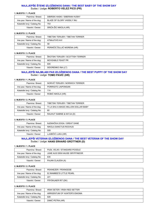# **NAJLJEPŠE ŠTENE IZLOŽBENOG DANA / THE BEST BABY OF THE SHOW DAY** Sudac / Judge: **ROBERTO VELEZ PICO (PR)**

#### **1. MJESTO / 1. PLACE**

| Pasmina / Breed:             | SIBIRSKI HASKI / SIBERIAN HUSKY |
|------------------------------|---------------------------------|
| Ime psa / Name of the dog:   | BLAZE OF GLORY VASSILY INU      |
| Kataloški broj / Catalog No: | 753                             |
| Vlasnik / Owner:             | SRIĆA-ŽIC NIKOLA (HR)           |

#### **2. MJESTO / 2. PLACE**

| Pasmina / Breed:             | TIBETSKI TERIJER / TIBETAN TERRIER |
|------------------------------|------------------------------------|
| Ime psa / Name of the dog:   | ATMAJITA'S AVI                     |
| Kataloški broj / Catalog No: | 58                                 |
| Vlasnik / Owner:             | PERINČIĆ ŠULJIĆ MORENA (HR)        |

#### **3. MJESTO / 3. PLACE**

| Pasmina / Breed:             | ŠKOTSKI TERIJER / SCOTTISH TERRIER |
|------------------------------|------------------------------------|
| Ime psa / Name of the dog:   | MOVEABLE FEAST PR                  |
| Kataloški broj / Catalog No: | 605                                |
| Vlasnik / Owner:             | SIDORENKO INA (LT)                 |

# **NAJLJEPŠI NAJMLAĐI PAS IZLOŽBENOG DANA / THE BEST PUPPY OF THE SHOW DAY** Sudac / Judge: **TOMO PAVIĆ (HR)**

#### **1. MJESTO / 1. PLACE**

| Pasmina / Breed:             | NORVIČ TERIJER / NORWICH TERRIER |
|------------------------------|----------------------------------|
| Ime psa / Name of the dog:   | PORRIGITO JAIPONGAN              |
| Kataloški broj / Catalog No: | 114                              |
| Vlasnik / Owner:             | ROBIĆ NIKOLA (HR)                |

#### **2. MJESTO / 2. PLACE**

| Pasmina / Breed:             | TIBETSKI TERIJER / TIBETAN TERRIER    |
|------------------------------|---------------------------------------|
| Ime psa / Name of the dog:   | TI LA SHU A MAGIC MILLION DOLLAR BABY |
| Kataloški broj / Catalog No: | 60                                    |
| Vlasnik / Owner:             | RAUHUT SABINE & KATJA (D)             |

#### **3. MJESTO / 3. PLACE**

| Pasmina / Breed:             | NJEMAČKA DOGA / GREAT DANE |
|------------------------------|----------------------------|
| Ime psa / Name of the dog:   | NIKOLA SANCTUS ROCHUS      |
| Kataloški broj / Catalog No: | 509                        |
| Vlasnik / Owner:             | LJUBIČIĆ LUKA (HR)         |

#### **NAJLJEPŠI VETERAN IZLOŽBENOG DANA / THE BEST VETERAN OF THE SHOW DAY** Sudac / Judge: **HANS ERHARD GRÜTTNER (D)**

#### **1. MJESTO / 1. PLACE**

| Pasmina / Breed:             | PUDL VELIKI / STANDARD POODLE |
|------------------------------|-------------------------------|
| Ime psa / Name of the dog:   | JUNE AUS DEM HAUSE GRYFFINDOR |
| Kataloški broj / Catalog No: | 635                           |
| Vlasnik / Owner:             | PAJAN CLAUDIA (A)             |

**2. MJESTO / 2. PLACE**

| Pasmina / Breed:             | PEKINEZER / PEKINGESE    |
|------------------------------|--------------------------|
| Ime psa / Name of the dog:   | EL'MAMBEE'S LITTLE PEARL |
| Kataloški broj / Catalog No: | 221                      |
| Vlasnik / Owner:             | FRYDKJAER RIT (DK)       |

| Pasmina / Breed:             | IRSKI SETER / IRISH RED SETTER |
|------------------------------|--------------------------------|
| Ime psa / Name of the dog:   | ARRGENTUM OF HUNTER'S ENIGMA   |
| Kataloški broj / Catalog No: | 828                            |
| Vlasnik / Owner:             | DIMIĆ PETRA (HR)               |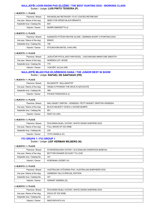# **NAJLJEPŠI LOVNI RADNI PAS IZLOŽBE / THE BEST HUNTING DOG - WORKING CLASS** Sudac / Judge: **LUIS PINTO TEIXEIRA (P)**

#### **1. MJESTO / 1. PLACE**

| Pasmina / Breed:             | RAVNODLAKI RETRIVER / FLAT COATED RETRIEVER |
|------------------------------|---------------------------------------------|
| Ime psa / Name of the dog:   | NEED FOR SPEED BLACK BRIANTA                |
| Kataloški broj / Catalog No: | 834                                         |
| Vlasnik / Owner:             | MURRI SIMONETTA (I)                         |

#### **2. MJESTO / 2. PLACE**

| Pasmina / Breed:             | NJEMAČKI PTIČAR KRATKE DLAKE / GERMAN SHORT H.POINTING DOG |
|------------------------------|------------------------------------------------------------|
| Ime psa / Name of the dog:   | <b>BINGO</b>                                               |
| Kataloški broj / Catalog No: | 792                                                        |
| Vlasnik / Owner:             | STOJKOVSKI-BATEL IVAN (HR)                                 |

#### **3. MJESTO / 3. PLACE**

| Pasmina / Breed:             | JAZAVČAR PATULJASTI KRATKODL. / DACHSHUND MINIATURE SMOOTH |
|------------------------------|------------------------------------------------------------|
| Ime psa / Name of the dog:   | NORDEN LIHT JEOZE                                          |
| Kataloški broj / Catalog No: | 775                                                        |
| Vlasnik / Owner:             | VUKUŠIĆ JULIJA (HR)                                        |

# **NAJLJEPŠI MLADI PAS IZLOŽBENOG DANA / THE JUNIOR BEST IN SHOW** Sudac / Judge: **RAFAEL DE SANTIAGO (PR)**

#### **1. MJESTO / 1. PLACE**

| Pasmina / Breed:             | <b>BULMASTIF / BULLMASTIFF</b>       |
|------------------------------|--------------------------------------|
| Ime psa / Name of the dog:   | ANGEL'S PHOENIX THE DEVIL'S ADVOCATE |
| Kataloški broj / Catalog No: | 389                                  |
| Vlasnik / Owner:             | PAVESI FRANCESCA (I)                 |

#### **2. MJESTO / 2. PLACE**

| Pasmina / Breed:             | MALI BASET GRIFON - VENDEEN / PETIT BASSET GRIFFON VENDEEN |
|------------------------------|------------------------------------------------------------|
| Ime psa / Name of the dog:   | BLACK MAJESTY GIVES U GOOSE BUMPS                          |
| Kataloški broj / Catalog No: | 661                                                        |
| Vlasnik / Owner:             | RAIČ IVA (HR)                                              |

#### **3. MJESTO / 3. PLACE**

| Pasmina / Breed:             | ŠVICARSKI BIJELI OVČAR / WHITE SWISS SHEPERD DOG |
|------------------------------|--------------------------------------------------|
| Ime psa / Name of the dog:   | FULL MOON OF ICE WINE                            |
| Kataloški broj / Catalog No: | 234                                              |
| Vlasnik / Owner:             | TOTH ANGELA (H)                                  |

#### **FCI GRUPA 1 / FCI GROUP 1** Sudac / Judge: **LEIF HERMAN WILBERG (N)**

#### **1. MJESTO / 1. PLACE**

| Pasmina / Breed:             | STAROENGLESKI OVČAR / OLD ENGLISH SHEEPDOG-BOBTAIL |
|------------------------------|----------------------------------------------------|
| Ime psa / Name of the dog:   | BOTTOM SHAKER SO EASY TO LOVE                      |
| Kataloški broj / Catalog No: | 341                                                |
| Vlasnik / Owner:             | KOROKNAI JOZSEF (H)                                |

#### **2. MJESTO / 2. PLACE**

| Pasmina / Breed:             | AUSTRALSKI OVČARSKI PAS / AUSTRALIAN SHEPHERD DOG |
|------------------------------|---------------------------------------------------|
| Ime psa / Name of the dog:   | <b>HARMONY HILL'S SPECIAL EDITION</b>             |
| Kataloški broj / Catalog No: | 401                                               |
| Vlasnik / Owner:             | HARANT ANDREA (D)                                 |

| Pasmina / Breed:             | ŠVICARSKI BIJELI OVČAR / WHITE SWISS SHEPERD DOG |
|------------------------------|--------------------------------------------------|
| Ime psa / Name of the dog:   | DOUX OF ICE WINE                                 |
| Kataloški broj / Catalog No: | 231                                              |
| Vlasnik / Owner:             | MAGYAR KATA (H)                                  |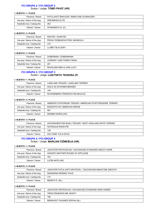# **FCI GRUPA 2 / FCI GROUP 2** Sudac / Judge: **TOMO PAVIĆ (HR)**

#### **1. MJESTO / 1. PLACE**

| Pasmina / Breed:             | PATULJASTI ŠNAUCER / MINIATURE SCHNAUZER |
|------------------------------|------------------------------------------|
| Ime psa / Name of the dog:   | DREAMKISS ELITE                          |
| Kataloški broj / Catalog No: | 482                                      |
| Vlasnik / Owner:             | AFANASIEVA N. (H)                        |

#### **2. MJESTO / 2. PLACE**

| Pasmina / Breed:             | ŠAR-PEI / SHAR-PEI             |
|------------------------------|--------------------------------|
| Ime psa / Name of the dog:   | PEIDAY ROBINSON STEEL MAGNOLIA |
| Kataloški broj / Catalog No: | 375                            |
| Vlasnik / Owner:             | LLOBET BLAI (ESP)              |

#### **3. MJESTO / 3. PLACE**

| Pasmina / Breed:             | DOBERMAN / DOBERMANN         |
|------------------------------|------------------------------|
| Ime psa / Name of the dog:   | LEGRANT LAND FARRA FARAH     |
| Kataloški broj / Catalog No: | 461                          |
| Vlasnik / Owner:             | ŠAVALGINI INNA & JURIJ (LAT) |

#### **FCI GRUPA 3 / FCI GROUP 3** Sudac / Judge: **LUIS PINTO TEIXEIRA (P)**

#### **1. MJESTO / 1. PLACE**

| Pasmina / Breed:             | LAKELAND TERIJER / LAKELAND TERRIER |
|------------------------------|-------------------------------------|
| Ime psa / Name of the dog:   | AIOLA VD SCHONEN BERGEN             |
| Kataloški broj / Catalog No: | 104                                 |
| Vlasnik / Owner:             | SCHONEBERG FRIEDRICH WILHELM (D)    |

#### **2. MJESTO / 2. PLACE**

| Pasmina / Breed:             | AMERIČKI STAFORDSKI TERIJER / AMERICAN STAFFORDSHIRE TERRIER |
|------------------------------|--------------------------------------------------------------|
| Ime psa / Name of the dog:   | BODEWITA MY AMERICAN DREAM                                   |
| Kataloški broj / Catalog No: | 587                                                          |
| Vlasnik / Owner:             | <b>DERMEK BORIS (HR)</b>                                     |

#### **3. MJESTO / 3. PLACE**

| Pasmina / Breed:             | ZAPADNOŠKOTSKI BIJELI TERIJER / WEST HIGHLAND WHITE TERRIER |
|------------------------------|-------------------------------------------------------------|
| Ime psa / Name of the dog:   | ASTRAGUS ROKSI PIE                                          |
| Kataloški broj / Catalog No: | 128                                                         |
| Vlasnik / Owner:             | SOLYANIK YULIA (RUS)                                        |

#### **FCI GRUPA 4 / FCI GROUP 4** Sudac / Judge: **MARIJAN ČIŽMEŠIJA (HR)**

#### **1. MJESTO / 1. PLACE**

| Pasmina / Breed:             | JAZAVČAR KRATKODLAKI / DACHSHUND STANDARD SMOOT-HAIRE |
|------------------------------|-------------------------------------------------------|
| Ime psa / Name of the dog:   | AIDANTE ANOTHER ROUND OF APPLAUSE                     |
| Kataloški broj / Catalog No: | 784                                                   |
| Vlasnik / Owner:             | LUČIN ANTE (HR)                                       |

#### **2. MJESTO / 2. PLACE**

| Pasmina / Breed:             | JAZAVČAR PATULJASTI KRATKODL. / DACHSHUND MINIATURE SMOOTH |
|------------------------------|------------------------------------------------------------|
| Ime psa / Name of the dog:   | SWISSKING RENDEZ VOUS                                      |
| Kataloški broj / Catalog No: | 774                                                        |
| Vlasnik / Owner:             | MEIER P.P. (NL)                                            |

| Pasmina / Breed:             | JAZAVČAR OŠTRODLAKI / DACHSHUND STANDARD WIRE-HAIRED |
|------------------------------|------------------------------------------------------|
| Ime psa / Name of the dog:   | TREIS PINHEIROS MR. MONTY                            |
| Kataloški broj / Catalog No: | 786                                                  |
| Vlasnik / Owner:             | BERKHOUT FALKNER SOPHIA (NL)                         |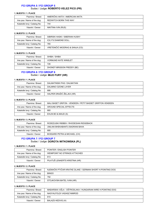# **FCI GRUPA 5 / FCI GROUP 5** Sudac / Judge: **ROBERTO VELEZ PICO (PR)**

#### **1. MJESTO / 1. PLACE**

| Pasmina / Breed:             | AMERIČKA AKITA / AMERICAN AKITA |
|------------------------------|---------------------------------|
| Ime psa / Name of the dog:   | <b>REDWITCH BORN THIS WAY</b>   |
| Kataloški broj / Catalog No: | 744                             |
| Vlasnik / Owner:             | NIKITINA IVIN (RUS)             |

#### **2. MJESTO / 2. PLACE**

| Pasmina / Breed:             | SIBIRSKI HASKI / SIBERIAN HUSKY |
|------------------------------|---------------------------------|
| Ime psa / Name of the dog:   | <b>ICILY'S DIAMOND DOLL</b>     |
| Kataloški broj / Catalog No: | 765                             |
| Vlasnik / Owner:             | VRETENIČIĆ MIODRAG & SANJA (CG) |

#### **3. MJESTO / 3. PLACE**

| Pasmina / Breed:             | SHIBA / SHIBA               |
|------------------------------|-----------------------------|
| Ime psa / Name of the dog:   | <b>VORMUND KATE WINSLET</b> |
| Kataloški broj / Catalog No: | 726                         |
| Vlasnik / Owner:             | DHONDT-BRISSON FREDDY (BE)  |

#### **FCI GRUPA 6 / FCI GROUP 6** Sudac / Judge: **MIJO FURY (HR)**

#### **1. MJESTO / 1. PLACE**

| Pasmina / Breed:             | DALMATINSKI PAS / DALMATIAN |
|------------------------------|-----------------------------|
| Ime psa / Name of the dog:   | DALMINO OZONE LAYER         |
| Kataloški broj / Catalog No: | 666                         |
| Vlasnik / Owner:             | HALPER DRAŽIĆ ŽELJKA (HR)   |

#### **2. MJESTO / 2. PLACE**

| Pasmina / Breed:             | MALI BASET GRIFON - VENDEEN / PETIT BASSET GRIFFON VENDEEN |
|------------------------------|------------------------------------------------------------|
| Ime psa / Name of the dog:   | AROUND SPECIAL EFFECTS                                     |
| Kataloški broj / Catalog No: | 660                                                        |
| Vlasnik / Owner:             | EHLIN BO & MAUD (S)                                        |

#### **3. MJESTO / 3. PLACE**

| Pasmina / Breed:             | RODEZIJSKI RIĐBEK / RHODESIAN RIDGEBACK |
|------------------------------|-----------------------------------------|
| Ime psa / Name of the dog:   | UMLANI BHEKABANTU BADRANI BAHA          |
| Kataloški broj / Catalog No: | 680                                     |
| Vlasnik / Owner:             | <b>BOSSARD PETRA &amp; MICHAEL (CH)</b> |

### **FCI GRUPA 7 / FCI GROUP 7** Sudac / Judge: **DOROTA WITKOWSKA (PL)**

#### **1. MJESTO / 1. PLACE**

| Pasmina / Breed:             | POINTER / ENGLISH POINTER      |
|------------------------------|--------------------------------|
| Ime psa / Name of the dog:   | WEIMPOINT NO STRINGS ATTACHED  |
| Kataloški broj / Catalog No: | 813                            |
| Vlasnik / Owner:             | PILATUŠ LENAERTS KRISTINA (HR) |

#### **2. MJESTO / 2. PLACE**

| Pasmina / Breed:             | NJEMAČKI PTIČAR KRATKE DLAKE / GERMAN SHORT H.POINTING DOG |
|------------------------------|------------------------------------------------------------|
| Ime psa / Name of the dog:   | <b>BINGO</b>                                               |
| Kataloški broj / Catalog No: | 792                                                        |
| Vlasnik / Owner:             | STOJKOVSKI-BATEL IVAN (HR)                                 |

| Pasmina / Breed:             | MAĐARSKA VIŽLA - OŠTRODLAKA / HUNGARIAN WIRE H.POINTING DOG |
|------------------------------|-------------------------------------------------------------|
| Ime psa / Name of the dog:   | NAGYALFOLDI VADASZ NIMROD                                   |
| Kataloški broj / Catalog No: | 810                                                         |
| Vlasnik / Owner:             | BALAZS HEDVIG (H)                                           |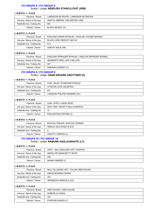# **FCI GRUPA 8 / FCI GROUP 8** Sudac / Judge: **NEBOJŠA STANOJLOVIĆ (SRB)**

#### **1. MJESTO / 1. PLACE**

| Pasmina / Breed:             | LABRADOR RETRIVER / LABRADOR RETRIEVER |
|------------------------------|----------------------------------------|
| Ime psa / Name of the dog:   | ANATOL AMEROK VOM WEITEN LAND          |
| Kataloški broj / Catalog No: | 840                                    |
| Vlasnik / Owner:             | BLAHA HELMUT (A)                       |

#### **2. MJESTO / 2. PLACE**

| Pasmina / Breed:             | ENGLESKI KOKER ŠPANIJEL / ENGLISH COCKER SPANIEL |
|------------------------------|--------------------------------------------------|
| Ime psa / Name of the dog:   | <b>BLACK LORD PERFECT MATCH</b>                  |
| Kataloški broj / Catalog No: | 913                                              |
| Vlasnik / Owner:             | HORVAT MAJA (HR)                                 |

#### **3. MJESTO / 3. PLACE**

| Pasmina / Breed:             | ENGLESKI ŠPRINGER ŠPANIJEL / ENGLISH SPRINGER SPANIEL |
|------------------------------|-------------------------------------------------------|
| Ime psa / Name of the dog:   | ADAMANT'S DEEL LIKE A MILLION                         |
| Kataloški broj / Catalog No: | 907                                                   |
| Vlasnik / Owner:             | SIMONIN LAURENT (F)                                   |

#### **FCI GRUPA 9 / FCI GROUP 9** Sudac / Judge: **HANS ERHARD GRÜTTNER (D)**

#### **1. MJESTO / 1. PLACE**

| Pasmina / Breed:             | PUDL VELIKI / STANDARD POODLE |
|------------------------------|-------------------------------|
| Ime psa / Name of the dog:   | ATASTAR LOVE UNLIMITED        |
| Kataloški broj / Catalog No: | 631                           |
| Vlasnik / Owner:             | LANGDON PHILIP&TASSINARI (UK) |

#### **2. MJESTO / 2. PLACE**

| Pasmina / Breed:             | LASA APSO / LHASA APSO           |
|------------------------------|----------------------------------|
| Ime psa / Name of the dog:   | SEXY AND I KNOW IT DELL'ALBERICO |
| Kataloški broj / Catalog No: | 70                               |
| Vlasnik / Owner:             | PAOLANTONI STEFANO (I)           |

#### **3. MJESTO / 3. PLACE**

| Pasmina / Breed:             | BOSTON TERIJER / BOSTON TERRIER |
|------------------------------|---------------------------------|
| Ime psa / Name of the dog:   | HIMALIA SILE DANDY'S ACE        |
| Kataloški broj / Catalog No: |                                 |
| Vlasnik / Owner:             | ZANOTTI FABRIZIO (I)            |

## **FCI GRUPA 10 / FCI GROUP 10** Sudac / Judge: **RAMUNE KAZLAUSKAITE (LT)**

#### **1. MJESTO / 1. PLACE**

| Pasmina / Breed:             | VIPET - MALI ENGLESKI HRT / WHIPPET |
|------------------------------|-------------------------------------|
| Ime psa / Name of the dog:   | ABSOLUTE MANN BETTY BOOP            |
| Kataloški broj / Catalog No: | 259                                 |
| Vlasnik / Owner:             | MANNI FABRIZIO (I)                  |

#### **2. MJESTO / 2. PLACE**

| Pasmina / Breed:             | MALI TALIJANSKI HRT / ITALIAN GREYHOUND |
|------------------------------|-----------------------------------------|
| Ime psa / Name of the dog:   | UNKAS BOHEMIA SKARA                     |
| Kataloški broj / Catalog No: | 342                                     |
| Vlasnik / Owner:             | JERABKOVA MARCELA (CZ)                  |

| Pasmina / Breed:             | <b>GREYHOUND / GREYHOUND</b> |
|------------------------------|------------------------------|
| Ime psa / Name of the dog:   | SOBERS ULYSSES               |
| Kataloški broj / Catalog No: | 343                          |
| Vlasnik / Owner:             | PURPURA NUNZIO (I)           |